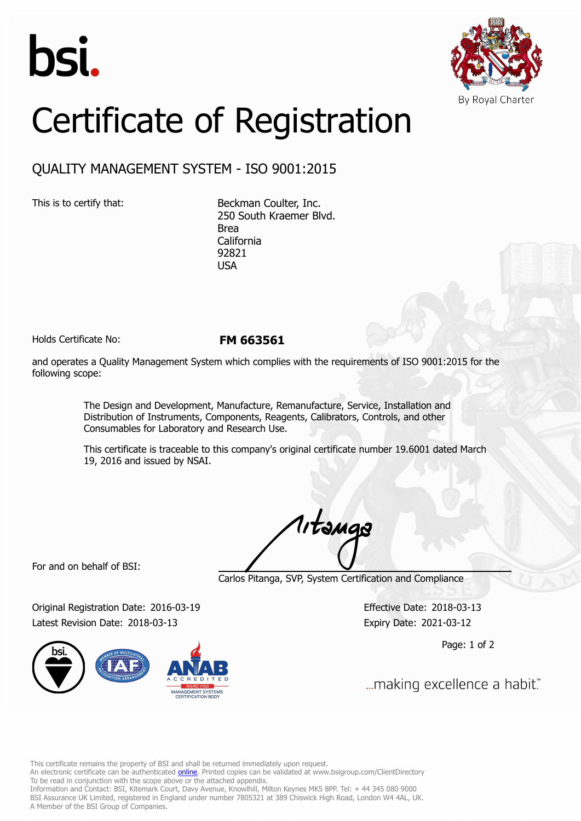



## Certificate of Registration

## QUALITY MANAGEMENT SYSTEM - ISO 9001:2015

This is to certify that: Beckman Coulter, Inc. 250 South Kraemer Blvd. Brea California 92821 USA

Holds Certificate No: **FM 663561**

and operates a Quality Management System which complies with the requirements of ISO 9001:2015 for the following scope:

> The Design and Development, Manufacture, Remanufacture, Service, Installation and Distribution of Instruments, Components, Reagents, Calibrators, Controls, and other Consumables for Laboratory and Research Use.

This certificate is traceable to this company's original certificate number 19.6001 dated March 19, 2016 and issued by NSAI.

1, tanga

For and on behalf of BSI:

Carlos Pitanga, SVP, System Certification and Compliance

Original Registration Date: 2016-03-19 Effective Date: 2018-03-13 Latest Revision Date: 2018-03-13 Expiry Date: 2021-03-12



Page: 1 of 2

... making excellence a habit."

This certificate remains the property of BSI and shall be returned immediately upon request.

An electronic certificate can be authenticated *[online](https://pgplus.bsigroup.com/CertificateValidation/CertificateValidator.aspx?CertificateNumber=FM+663561&ReIssueDate=13%2f03%2f2018&Template=inc)*. Printed copies can be validated at www.bsigroup.com/ClientDirectory To be read in conjunction with the scope above or the attached appendix.

Information and Contact: BSI, Kitemark Court, Davy Avenue, Knowlhill, Milton Keynes MK5 8PP. Tel: + 44 345 080 9000 BSI Assurance UK Limited, registered in England under number 7805321 at 389 Chiswick High Road, London W4 4AL, UK. A Member of the BSI Group of Companies.